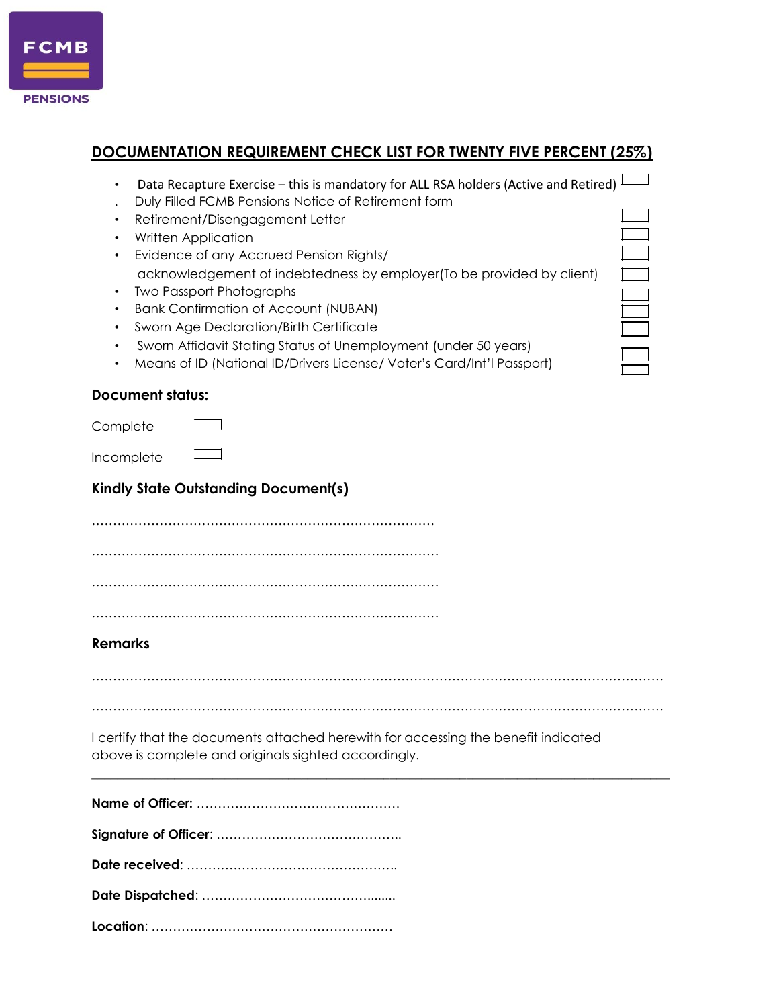

# **DOCUMENTATION REQUIREMENT CHECK LIST FOR TWENTY FIVE PERCENT (25%)**

|  | Data Recapture Exercise – this is mandatory for ALL RSA holders (Active and Retired) $\longleftarrow$ |  |
|--|-------------------------------------------------------------------------------------------------------|--|
|--|-------------------------------------------------------------------------------------------------------|--|

- . Duly Filled FCMB Pensions Notice of Retirement form
- Retirement/Disengagement Letter
- Written Application
- Evidence of any Accrued Pension Rights/
- acknowledgement of indebtedness by employer(To be provided by client)
- Two Passport Photographs
- Bank Confirmation of Account (NUBAN)
- Sworn Age Declaration/Birth Certificate
- Sworn Affidavit Stating Status of Unemployment (under 50 years)
- Means of ID (National ID/Drivers License/ Voter's Card/Int'l Passport)

#### **Document status:**

**Complete** 

Incomplete

### **Kindly State Outstanding Document(s)**

……………………………………………………………………… ………………………………………………………………………. ………………………………………………………………………. ……………………………………………………………………….

### **Remarks**

………………………………………………………………………………………………………………………

\_\_\_\_\_\_\_\_\_\_\_\_\_\_\_\_\_\_\_\_\_\_\_\_\_\_\_\_\_\_\_\_\_\_\_\_\_\_\_\_\_\_\_\_\_\_\_\_\_\_\_\_\_\_\_\_\_\_\_\_\_\_\_\_\_\_\_\_\_\_\_\_\_\_\_\_\_\_\_\_\_\_\_\_\_\_\_\_\_\_\_

………………………………………………………………………………………………………………………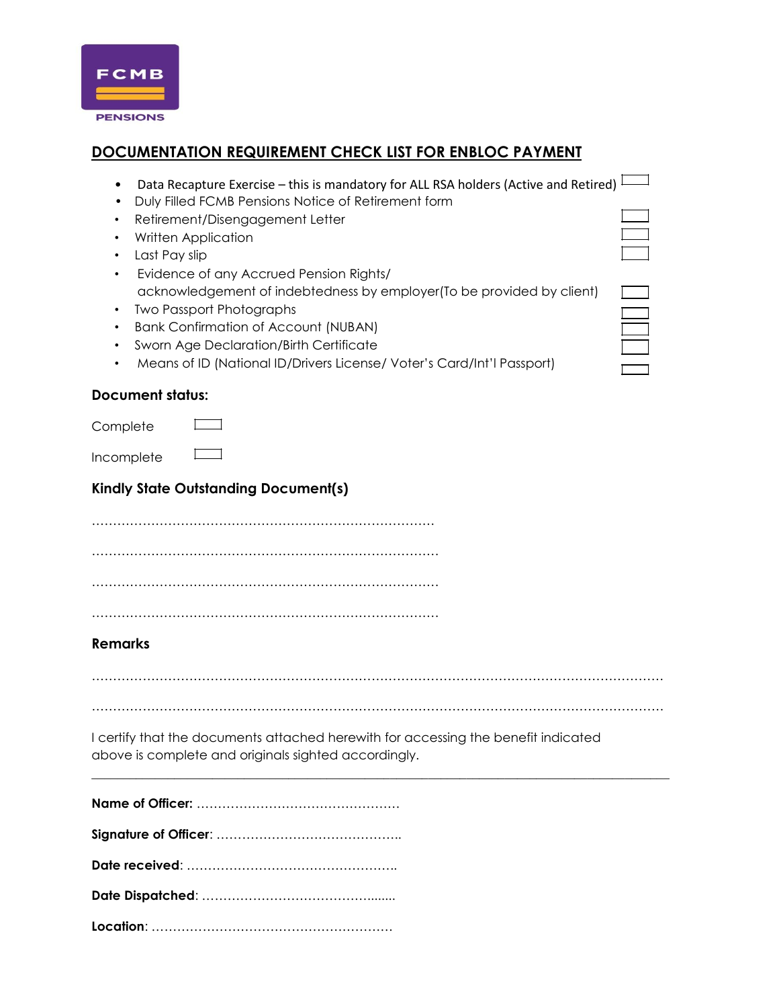

# **DOCUMENTATION REQUIREMENT CHECK LIST FOR ENBLOC PAYMENT**

|   | Data Recapture Exercise - this is mandatory for ALL RSA holders (Active and Retired) |  |
|---|--------------------------------------------------------------------------------------|--|
|   | Duly Filled FCMB Pensions Notice of Retirement form                                  |  |
|   | Retirement/Disengagement Letter                                                      |  |
|   | Written Application                                                                  |  |
|   | Last Pay slip                                                                        |  |
| ٠ | Evidence of any Accrued Pension Rights/                                              |  |
|   | acknowledgement of indebtedness by employer (To be provided by client)               |  |
|   | <b>Two Passport Photographs</b>                                                      |  |
|   | <b>Bank Confirmation of Account (NUBAN)</b>                                          |  |
|   | Sworn Age Declaration/Birth Certificate                                              |  |
|   | Means of ID (National ID/Drivers License/ Voter's Card/Int'l Passport)               |  |
|   |                                                                                      |  |

#### **Document status:**

**Complete** 

Incomplete

### **Kindly State Outstanding Document(s)**

 $\Box$ 

……………………………………………………………………… ………………………………………………………………………. ………………………………………………………………………. ……………………………………………………………………….

### **Remarks**

……………………………………………………………………………………………………………………… ………………………………………………………………………………………………………………………

\_\_\_\_\_\_\_\_\_\_\_\_\_\_\_\_\_\_\_\_\_\_\_\_\_\_\_\_\_\_\_\_\_\_\_\_\_\_\_\_\_\_\_\_\_\_\_\_\_\_\_\_\_\_\_\_\_\_\_\_\_\_\_\_\_\_\_\_\_\_\_\_\_\_\_\_\_\_\_\_\_\_\_\_\_\_\_\_\_\_\_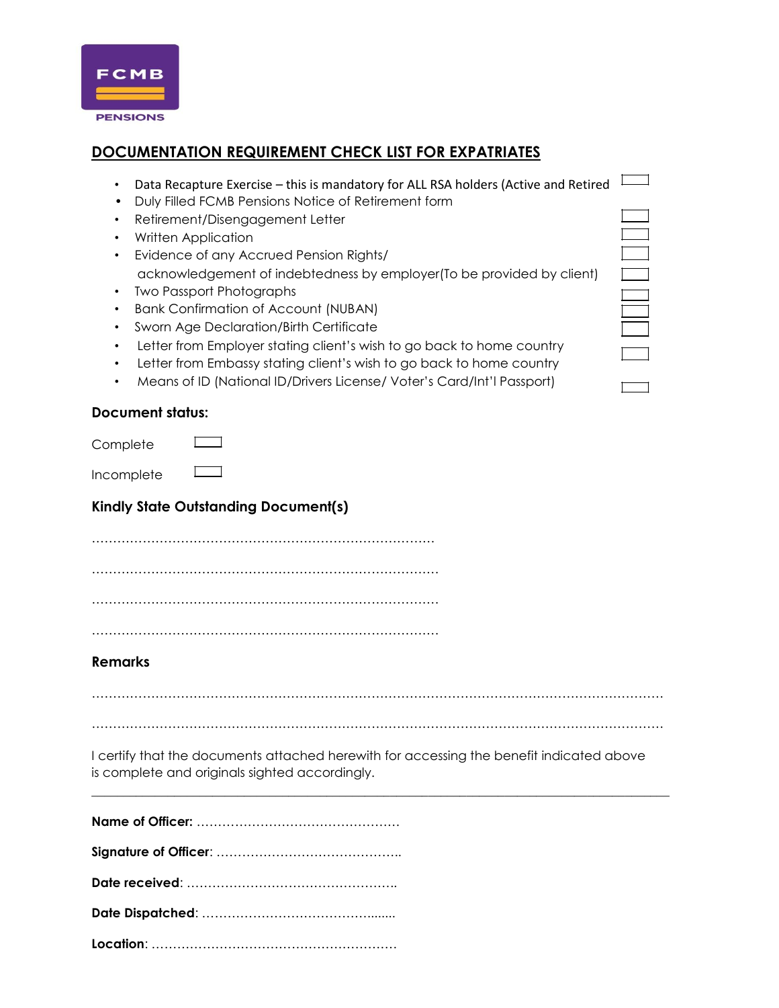

# **DOCUMENTATION REQUIREMENT CHECK LIST FOR EXPATRIATES**

|  | Data Recapture Exercise – this is mandatory for ALL RSA holders (Active and Retired |  |
|--|-------------------------------------------------------------------------------------|--|
|--|-------------------------------------------------------------------------------------|--|

- Duly Filled FCMB Pensions Notice of Retirement form
- Retirement/Disengagement Letter
- Written Application
- Evidence of any Accrued Pension Rights/ acknowledgement of indebtedness by employer(To be provided by client)
- Two Passport Photographs
- Bank Confirmation of Account (NUBAN)
- Sworn Age Declaration/Birth Certificate
- Letter from Employer stating client's wish to go back to home country
- Letter from Embassy stating client's wish to go back to home country
- Means of ID (National ID/Drivers License/ Voter's Card/Int'l Passport)

#### **Document status:**

| Complete |  |
|----------|--|
|          |  |

Incomplete

### **Kindly State Outstanding Document(s)**

……………………………………………………………………… ………………………………………………………………………. ………………………………………………………………………. ……………………………………………………………………….

### **Remarks**

……………………………………………………………………………………………………………………… ………………………………………………………………………………………………………………………

I certify that the documents attached herewith for accessing the benefit indicated above is complete and originals sighted accordingly.

\_\_\_\_\_\_\_\_\_\_\_\_\_\_\_\_\_\_\_\_\_\_\_\_\_\_\_\_\_\_\_\_\_\_\_\_\_\_\_\_\_\_\_\_\_\_\_\_\_\_\_\_\_\_\_\_\_\_\_\_\_\_\_\_\_\_\_\_\_\_\_\_\_\_\_\_\_\_\_\_\_\_\_\_\_\_\_\_\_\_\_

| l |                          |
|---|--------------------------|
|   | $\sim$                   |
|   | $\Box$                   |
|   |                          |
|   |                          |
|   | $\overline{\phantom{1}}$ |
|   | <u>in a</u>              |
|   |                          |
|   |                          |
|   |                          |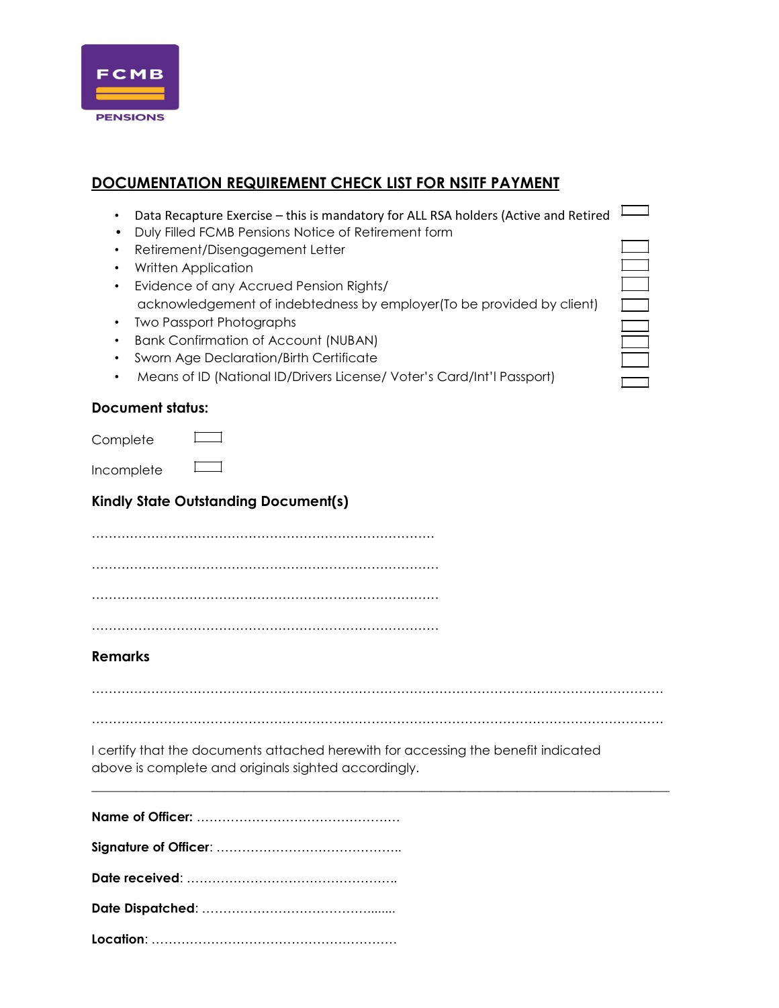

## **DOCUMENTATION REQUIREMENT CHECK LIST FOR NSITF PAYMENT**

| Data Recapture Exercise - this is mandatory for ALL RSA holders (Active and Retired<br>Duly Filled FCMB Pensions Notice of Retirement form |  |
|--------------------------------------------------------------------------------------------------------------------------------------------|--|
| Retirement/Disengagement Letter                                                                                                            |  |
| <b>Written Application</b>                                                                                                                 |  |
| Evidence of any Accrued Pension Rights/                                                                                                    |  |
| acknowledgement of indebtedness by employer (To be provided by client)                                                                     |  |
| <b>Two Passport Photographs</b>                                                                                                            |  |
| <b>Bank Confirmation of Account (NUBAN)</b>                                                                                                |  |
| Sworn Age Declaration/Birth Certificate                                                                                                    |  |
| Means of ID (National ID/Drivers License/ Voter's Card/Int'l Passport)                                                                     |  |

### **Document status:**

| Complete   |  |
|------------|--|
| Incomplete |  |

# **Kindly State Outstanding Document(s)**

……………………………………………………………………… ………………………………………………………………………. ………………………………………………………………………. ……………………………………………………………………….

### **Remarks**

……………………………………………………………………………………………………………………… ………………………………………………………………………………………………………………………

\_\_\_\_\_\_\_\_\_\_\_\_\_\_\_\_\_\_\_\_\_\_\_\_\_\_\_\_\_\_\_\_\_\_\_\_\_\_\_\_\_\_\_\_\_\_\_\_\_\_\_\_\_\_\_\_\_\_\_\_\_\_\_\_\_\_\_\_\_\_\_\_\_\_\_\_\_\_\_\_\_\_\_\_\_\_\_\_\_\_\_